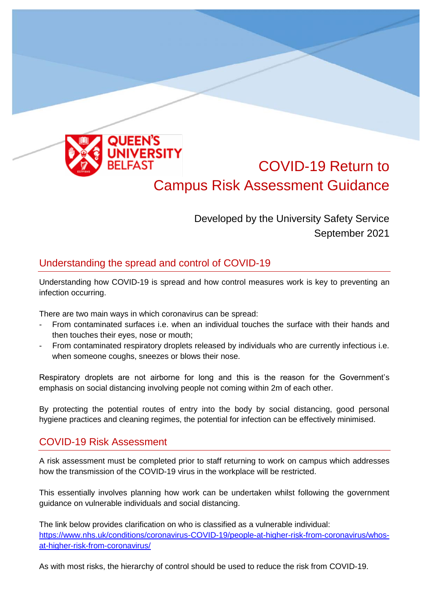

## COVID-19 Return to Campus Risk Assessment Guidance

Developed by the University Safety Service September 2021

## Understanding the spread and control of COVID-19

Understanding how COVID-19 is spread and how control measures work is key to preventing an infection occurring.

There are two main ways in which coronavirus can be spread:

- From contaminated surfaces i.e. when an individual touches the surface with their hands and then touches their eyes, nose or mouth;
- From contaminated respiratory droplets released by individuals who are currently infectious i.e. when someone coughs, sneezes or blows their nose.

Respiratory droplets are not airborne for long and this is the reason for the Government's emphasis on social distancing involving people not coming within 2m of each other.

By protecting the potential routes of entry into the body by social distancing, good personal hygiene practices and cleaning regimes, the potential for infection can be effectively minimised.

## COVID-19 Risk Assessment

A risk assessment must be completed prior to staff returning to work on campus which addresses how the transmission of the COVID-19 virus in the workplace will be restricted.

This essentially involves planning how work can be undertaken whilst following the government guidance on vulnerable individuals and social distancing.

The link below provides clarification on who is classified as a vulnerable individual: [https://www.nhs.uk/conditions/coronavirus-COVID-19/people-at-higher-risk-from-coronavirus/whos](https://www.nhs.uk/conditions/coronavirus-covid-19/people-at-higher-risk-from-coronavirus/whos-at-higher-risk-from-coronavirus/)[at-higher-risk-from-coronavirus/](https://www.nhs.uk/conditions/coronavirus-covid-19/people-at-higher-risk-from-coronavirus/whos-at-higher-risk-from-coronavirus/)

As with most risks, the hierarchy of control should be used to reduce the risk from COVID-19.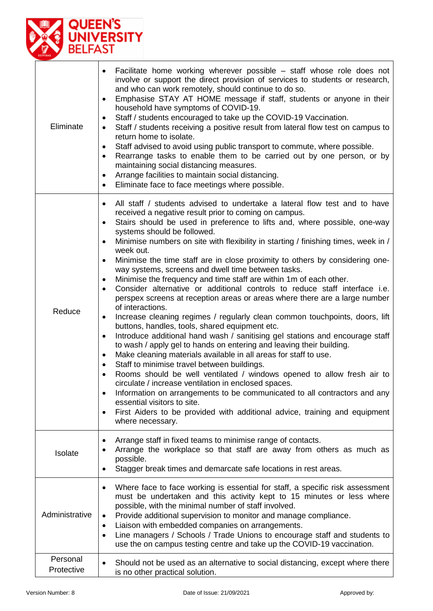

| Eliminate              | Facilitate home working wherever possible – staff whose role does not<br>$\bullet$<br>involve or support the direct provision of services to students or research,<br>and who can work remotely, should continue to do so.<br>Emphasise STAY AT HOME message if staff, students or anyone in their<br>$\bullet$<br>household have symptoms of COVID-19.<br>Staff / students encouraged to take up the COVID-19 Vaccination.<br>$\bullet$<br>Staff / students receiving a positive result from lateral flow test on campus to<br>$\bullet$<br>return home to isolate.<br>Staff advised to avoid using public transport to commute, where possible.<br>$\bullet$<br>Rearrange tasks to enable them to be carried out by one person, or by<br>$\bullet$<br>maintaining social distancing measures.<br>Arrange facilities to maintain social distancing.<br>$\bullet$<br>Eliminate face to face meetings where possible.<br>$\bullet$                                                                                                                                                                                                                                                                                                                                                                                                                                                                                                                                                                                                                                                                                                   |
|------------------------|-------------------------------------------------------------------------------------------------------------------------------------------------------------------------------------------------------------------------------------------------------------------------------------------------------------------------------------------------------------------------------------------------------------------------------------------------------------------------------------------------------------------------------------------------------------------------------------------------------------------------------------------------------------------------------------------------------------------------------------------------------------------------------------------------------------------------------------------------------------------------------------------------------------------------------------------------------------------------------------------------------------------------------------------------------------------------------------------------------------------------------------------------------------------------------------------------------------------------------------------------------------------------------------------------------------------------------------------------------------------------------------------------------------------------------------------------------------------------------------------------------------------------------------------------------------------------------------------------------------------------------------|
| Reduce                 | All staff / students advised to undertake a lateral flow test and to have<br>$\bullet$<br>received a negative result prior to coming on campus.<br>Stairs should be used in preference to lifts and, where possible, one-way<br>$\bullet$<br>systems should be followed.<br>Minimise numbers on site with flexibility in starting / finishing times, week in /<br>$\bullet$<br>week out.<br>Minimise the time staff are in close proximity to others by considering one-<br>$\bullet$<br>way systems, screens and dwell time between tasks.<br>Minimise the frequency and time staff are within 1m of each other.<br>Consider alternative or additional controls to reduce staff interface i.e.<br>$\bullet$<br>perspex screens at reception areas or areas where there are a large number<br>of interactions.<br>Increase cleaning regimes / regularly clean common touchpoints, doors, lift<br>$\bullet$<br>buttons, handles, tools, shared equipment etc.<br>Introduce additional hand wash / sanitising gel stations and encourage staff<br>$\bullet$<br>to wash / apply gel to hands on entering and leaving their building.<br>Make cleaning materials available in all areas for staff to use.<br>$\bullet$<br>Staff to minimise travel between buildings.<br>٠<br>Rooms should be well ventilated / windows opened to allow fresh air to<br>circulate / increase ventilation in enclosed spaces.<br>Information on arrangements to be communicated to all contractors and any<br>essential visitors to site.<br>First Aiders to be provided with additional advice, training and equipment<br>$\bullet$<br>where necessary. |
| Isolate                | Arrange staff in fixed teams to minimise range of contacts.<br>٠<br>Arrange the workplace so that staff are away from others as much as<br>possible.<br>Stagger break times and demarcate safe locations in rest areas.<br>٠                                                                                                                                                                                                                                                                                                                                                                                                                                                                                                                                                                                                                                                                                                                                                                                                                                                                                                                                                                                                                                                                                                                                                                                                                                                                                                                                                                                                        |
| Administrative         | Where face to face working is essential for staff, a specific risk assessment<br>$\bullet$<br>must be undertaken and this activity kept to 15 minutes or less where<br>possible, with the minimal number of staff involved.<br>Provide additional supervision to monitor and manage compliance.<br>٠<br>Liaison with embedded companies on arrangements.<br>$\bullet$<br>Line managers / Schools / Trade Unions to encourage staff and students to<br>$\bullet$<br>use the on campus testing centre and take up the COVID-19 vaccination.                                                                                                                                                                                                                                                                                                                                                                                                                                                                                                                                                                                                                                                                                                                                                                                                                                                                                                                                                                                                                                                                                           |
| Personal<br>Protective | Should not be used as an alternative to social distancing, except where there<br>$\bullet$<br>is no other practical solution.                                                                                                                                                                                                                                                                                                                                                                                                                                                                                                                                                                                                                                                                                                                                                                                                                                                                                                                                                                                                                                                                                                                                                                                                                                                                                                                                                                                                                                                                                                       |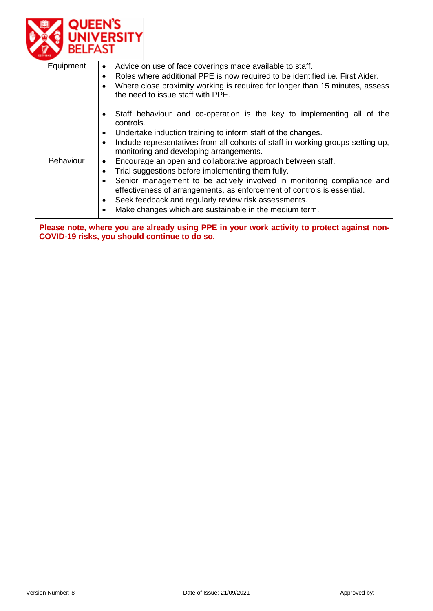

| Equipment        | Advice on use of face coverings made available to staff.<br>$\bullet$<br>Roles where additional PPE is now required to be identified i.e. First Aider.<br>$\bullet$<br>Where close proximity working is required for longer than 15 minutes, assess<br>the need to issue staff with PPE.                                                                                                                                                                                                                                                                                                                                                                                                                                                      |
|------------------|-----------------------------------------------------------------------------------------------------------------------------------------------------------------------------------------------------------------------------------------------------------------------------------------------------------------------------------------------------------------------------------------------------------------------------------------------------------------------------------------------------------------------------------------------------------------------------------------------------------------------------------------------------------------------------------------------------------------------------------------------|
| <b>Behaviour</b> | Staff behaviour and co-operation is the key to implementing all of the<br>$\bullet$<br>controls.<br>Undertake induction training to inform staff of the changes.<br>$\bullet$<br>Include representatives from all cohorts of staff in working groups setting up,<br>$\bullet$<br>monitoring and developing arrangements.<br>Encourage an open and collaborative approach between staff.<br>$\bullet$<br>Trial suggestions before implementing them fully.<br>Senior management to be actively involved in monitoring compliance and<br>effectiveness of arrangements, as enforcement of controls is essential.<br>Seek feedback and regularly review risk assessments.<br>$\bullet$<br>Make changes which are sustainable in the medium term. |

**Please note, where you are already using PPE in your work activity to protect against non-COVID-19 risks, you should continue to do so.**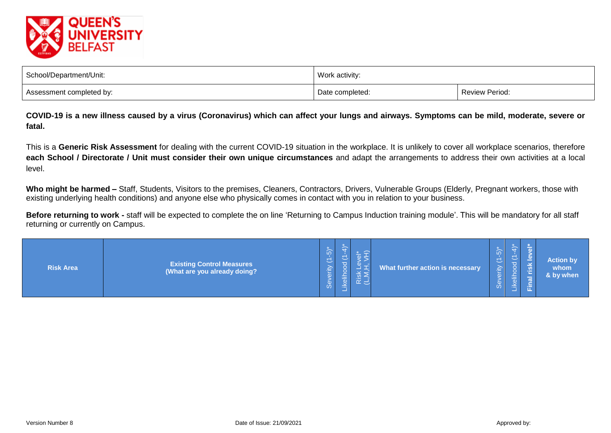

| School/Department/Unit:  | Work activity:  |                       |  |  |  |  |  |
|--------------------------|-----------------|-----------------------|--|--|--|--|--|
| Assessment completed by: | Date completed: | <b>Review Period:</b> |  |  |  |  |  |

**COVID-19 is a new illness caused by a virus (Coronavirus) which can affect your lungs and airways. Symptoms can be mild, moderate, severe or fatal.**

This is a **Generic Risk Assessment** for dealing with the current COVID-19 situation in the workplace. It is unlikely to cover all workplace scenarios, therefore **each School / Directorate / Unit must consider their own unique circumstances** and adapt the arrangements to address their own activities at a local level.

Who might be harmed – Staff, Students, Visitors to the premises, Cleaners, Contractors, Drivers, Vulnerable Groups (Elderly, Pregnant workers, those with existing underlying health conditions) and anyone else who physically comes in contact with you in relation to your business.

Before returning to work - staff will be expected to complete the on line 'Returning to Campus Induction training module'. This will be mandatory for all staff returning or currently on Campus.

| <b>Existing Control Measures</b><br><b>Risk Area</b><br>(What are you already doing? | $(-5)^{*}$<br>erity<br>്ക് | w<br>ెర<br>ikelih | Risk<br>(L, M, | What further action is necessary | LO<br>$\sim$<br>£<br>$\omega$ | $\overline{\phantom{a}}$<br>宗<br>÷. | $\sim$ | <b>Action by</b><br>whom<br>& by when |
|--------------------------------------------------------------------------------------|----------------------------|-------------------|----------------|----------------------------------|-------------------------------|-------------------------------------|--------|---------------------------------------|
|--------------------------------------------------------------------------------------|----------------------------|-------------------|----------------|----------------------------------|-------------------------------|-------------------------------------|--------|---------------------------------------|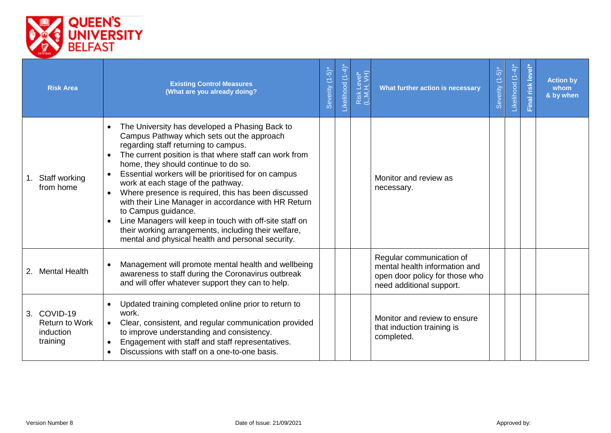

| <b>Risk Area</b>                                              | <b>Existing Control Measures</b><br>(What are you already doing?                                                                                                                                                                                                                                                                                                                                                                                                                                                                                                                                                                                               | Severity (1-5)* | Likelihood (1-4) | Risk Level*<br>(L,M,H, VH) | What further action is necessary                                                                                        | Severity (1-5)* | Likelihood (1-4) | Final risk level | <b>Action by</b><br>whom<br>& by when |
|---------------------------------------------------------------|----------------------------------------------------------------------------------------------------------------------------------------------------------------------------------------------------------------------------------------------------------------------------------------------------------------------------------------------------------------------------------------------------------------------------------------------------------------------------------------------------------------------------------------------------------------------------------------------------------------------------------------------------------------|-----------------|------------------|----------------------------|-------------------------------------------------------------------------------------------------------------------------|-----------------|------------------|------------------|---------------------------------------|
| 1. Staff working<br>from home                                 | The University has developed a Phasing Back to<br>$\bullet$<br>Campus Pathway which sets out the approach<br>regarding staff returning to campus.<br>The current position is that where staff can work from<br>home, they should continue to do so.<br>Essential workers will be prioritised for on campus<br>work at each stage of the pathway.<br>Where presence is required, this has been discussed<br>with their Line Manager in accordance with HR Return<br>to Campus guidance.<br>Line Managers will keep in touch with off-site staff on<br>their working arrangements, including their welfare,<br>mental and physical health and personal security. |                 |                  |                            | Monitor and review as<br>necessary.                                                                                     |                 |                  |                  |                                       |
| 2. Mental Health                                              | Management will promote mental health and wellbeing<br>awareness to staff during the Coronavirus outbreak<br>and will offer whatever support they can to help.                                                                                                                                                                                                                                                                                                                                                                                                                                                                                                 |                 |                  |                            | Regular communication of<br>mental health information and<br>open door policy for those who<br>need additional support. |                 |                  |                  |                                       |
| 3. COVID-19<br><b>Return to Work</b><br>induction<br>training | Updated training completed online prior to return to<br>work.<br>Clear, consistent, and regular communication provided<br>$\bullet$<br>to improve understanding and consistency.<br>Engagement with staff and staff representatives.<br>Discussions with staff on a one-to-one basis.                                                                                                                                                                                                                                                                                                                                                                          |                 |                  |                            | Monitor and review to ensure<br>that induction training is<br>completed.                                                |                 |                  |                  |                                       |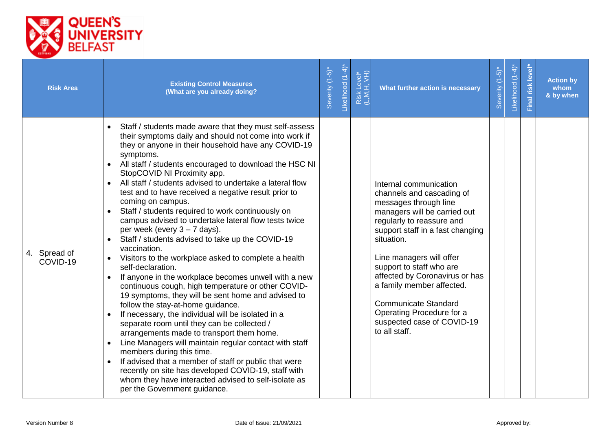

| <b>Risk Area</b>         | <b>Existing Control Measures</b><br>(What are you already doing?                                                                                                                                                                                                                                                                                                                                                                                                                                                                                                                                                                                                                                                                                                                                                                                                                                                                                                                                                                                                                                                                                                                                                                                                                                                                                                                                                                                 | Severity (1-5)* | -ikelihood (1-4)* | Risk Level*<br>(L,M,H, VH) | What further action is necessary                                                                                                                                                                                                                                                                                                                                                                                              | Severity (1-5)* | Likelihood (1-4)* | Final risk level | <b>Action by</b><br>whom<br>& by when |
|--------------------------|--------------------------------------------------------------------------------------------------------------------------------------------------------------------------------------------------------------------------------------------------------------------------------------------------------------------------------------------------------------------------------------------------------------------------------------------------------------------------------------------------------------------------------------------------------------------------------------------------------------------------------------------------------------------------------------------------------------------------------------------------------------------------------------------------------------------------------------------------------------------------------------------------------------------------------------------------------------------------------------------------------------------------------------------------------------------------------------------------------------------------------------------------------------------------------------------------------------------------------------------------------------------------------------------------------------------------------------------------------------------------------------------------------------------------------------------------|-----------------|-------------------|----------------------------|-------------------------------------------------------------------------------------------------------------------------------------------------------------------------------------------------------------------------------------------------------------------------------------------------------------------------------------------------------------------------------------------------------------------------------|-----------------|-------------------|------------------|---------------------------------------|
| 4. Spread of<br>COVID-19 | Staff / students made aware that they must self-assess<br>$\bullet$<br>their symptoms daily and should not come into work if<br>they or anyone in their household have any COVID-19<br>symptoms.<br>All staff / students encouraged to download the HSC NI<br>$\bullet$<br>StopCOVID NI Proximity app.<br>All staff / students advised to undertake a lateral flow<br>$\bullet$<br>test and to have received a negative result prior to<br>coming on campus.<br>Staff / students required to work continuously on<br>campus advised to undertake lateral flow tests twice<br>per week (every $3 - 7$ days).<br>Staff / students advised to take up the COVID-19<br>$\bullet$<br>vaccination.<br>Visitors to the workplace asked to complete a health<br>self-declaration.<br>If anyone in the workplace becomes unwell with a new<br>continuous cough, high temperature or other COVID-<br>19 symptoms, they will be sent home and advised to<br>follow the stay-at-home guidance.<br>If necessary, the individual will be isolated in a<br>separate room until they can be collected /<br>arrangements made to transport them home.<br>Line Managers will maintain regular contact with staff<br>members during this time.<br>If advised that a member of staff or public that were<br>$\bullet$<br>recently on site has developed COVID-19, staff with<br>whom they have interacted advised to self-isolate as<br>per the Government guidance. |                 |                   |                            | Internal communication<br>channels and cascading of<br>messages through line<br>managers will be carried out<br>regularly to reassure and<br>support staff in a fast changing<br>situation.<br>Line managers will offer<br>support to staff who are<br>affected by Coronavirus or has<br>a family member affected.<br><b>Communicate Standard</b><br>Operating Procedure for a<br>suspected case of COVID-19<br>to all staff. |                 |                   |                  |                                       |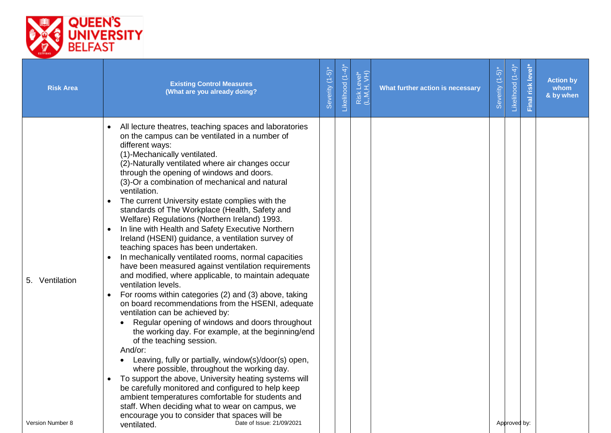

| <b>Risk Area</b> | <b>Existing Control Measures</b><br>(What are you already doing?                                                                                                                                                                                                                                                                                                                                                                                                                                                                                                                                                                                                                                                                                                                                                                                                                                                                                                                                                                                                                                                                                                                                                                                                                                                                                                                                                                                                                                                                              | Severity (1-5)* | Likelihood (1-4) | Risk Level*<br>(L,M,H, VH) | What further action is necessary | Severity (1-5) | Likelihood (1-4) | Final risk level | <b>Action by</b><br>whom<br>& by when |
|------------------|-----------------------------------------------------------------------------------------------------------------------------------------------------------------------------------------------------------------------------------------------------------------------------------------------------------------------------------------------------------------------------------------------------------------------------------------------------------------------------------------------------------------------------------------------------------------------------------------------------------------------------------------------------------------------------------------------------------------------------------------------------------------------------------------------------------------------------------------------------------------------------------------------------------------------------------------------------------------------------------------------------------------------------------------------------------------------------------------------------------------------------------------------------------------------------------------------------------------------------------------------------------------------------------------------------------------------------------------------------------------------------------------------------------------------------------------------------------------------------------------------------------------------------------------------|-----------------|------------------|----------------------------|----------------------------------|----------------|------------------|------------------|---------------------------------------|
| 5. Ventilation   | All lecture theatres, teaching spaces and laboratories<br>on the campus can be ventilated in a number of<br>different ways:<br>(1)-Mechanically ventilated.<br>(2)-Naturally ventilated where air changes occur<br>through the opening of windows and doors.<br>(3)-Or a combination of mechanical and natural<br>ventilation.<br>The current University estate complies with the<br>$\bullet$<br>standards of The Workplace (Health, Safety and<br>Welfare) Regulations (Northern Ireland) 1993.<br>In line with Health and Safety Executive Northern<br>Ireland (HSENI) guidance, a ventilation survey of<br>teaching spaces has been undertaken.<br>In mechanically ventilated rooms, normal capacities<br>have been measured against ventilation requirements<br>and modified, where applicable, to maintain adequate<br>ventilation levels.<br>For rooms within categories (2) and (3) above, taking<br>on board recommendations from the HSENI, adequate<br>ventilation can be achieved by:<br>Regular opening of windows and doors throughout<br>$\bullet$<br>the working day. For example, at the beginning/end<br>of the teaching session.<br>And/or:<br>Leaving, fully or partially, window(s)/door(s) open,<br>where possible, throughout the working day.<br>To support the above, University heating systems will<br>be carefully monitored and configured to help keep<br>ambient temperatures comfortable for students and<br>staff. When deciding what to wear on campus, we<br>encourage you to consider that spaces will be |                 |                  |                            |                                  |                |                  |                  |                                       |
| Version Number 8 | Date of Issue: 21/09/2021<br>ventilated.                                                                                                                                                                                                                                                                                                                                                                                                                                                                                                                                                                                                                                                                                                                                                                                                                                                                                                                                                                                                                                                                                                                                                                                                                                                                                                                                                                                                                                                                                                      |                 |                  |                            |                                  |                | Approved by:     |                  |                                       |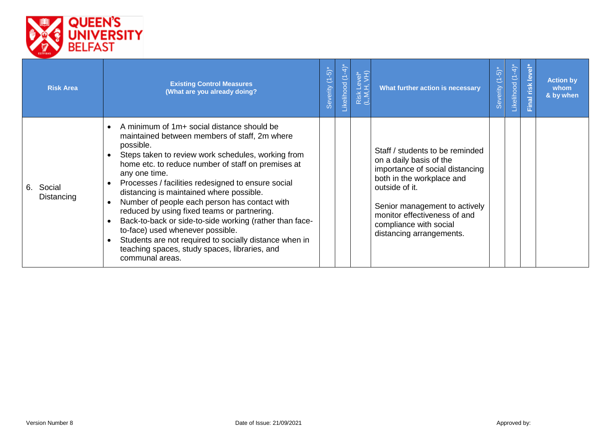

| <b>Risk Area</b>        | <b>Existing Control Measures</b><br>(What are you already doing?                                                                                                                                                                                                                                                                                                                                                                                                                                                                                                                                                                                                     | Severity (1-5) | ikelihood (1-4) | Risk Level*<br>(L,M,H, VH) | What further action is necessary                                                                                                                                                                                                                                    | $\overline{5}$<br>三<br>everity<br>$\omega$ | $\frac{1}{4}$<br>$\overline{C}$<br>Likelihood | level'<br>risk<br>$\frac{1}{2}$ | <b>Action by</b><br>whom<br>& by when |
|-------------------------|----------------------------------------------------------------------------------------------------------------------------------------------------------------------------------------------------------------------------------------------------------------------------------------------------------------------------------------------------------------------------------------------------------------------------------------------------------------------------------------------------------------------------------------------------------------------------------------------------------------------------------------------------------------------|----------------|-----------------|----------------------------|---------------------------------------------------------------------------------------------------------------------------------------------------------------------------------------------------------------------------------------------------------------------|--------------------------------------------|-----------------------------------------------|---------------------------------|---------------------------------------|
| 6. Social<br>Distancing | A minimum of 1m+ social distance should be<br>maintained between members of staff, 2m where<br>possible.<br>Steps taken to review work schedules, working from<br>home etc. to reduce number of staff on premises at<br>any one time.<br>Processes / facilities redesigned to ensure social<br>distancing is maintained where possible.<br>Number of people each person has contact with<br>reduced by using fixed teams or partnering.<br>Back-to-back or side-to-side working (rather than face-<br>to-face) used whenever possible.<br>Students are not required to socially distance when in<br>teaching spaces, study spaces, libraries, and<br>communal areas. |                |                 |                            | Staff / students to be reminded<br>on a daily basis of the<br>importance of social distancing<br>both in the workplace and<br>outside of it.<br>Senior management to actively<br>monitor effectiveness of and<br>compliance with social<br>distancing arrangements. |                                            |                                               |                                 |                                       |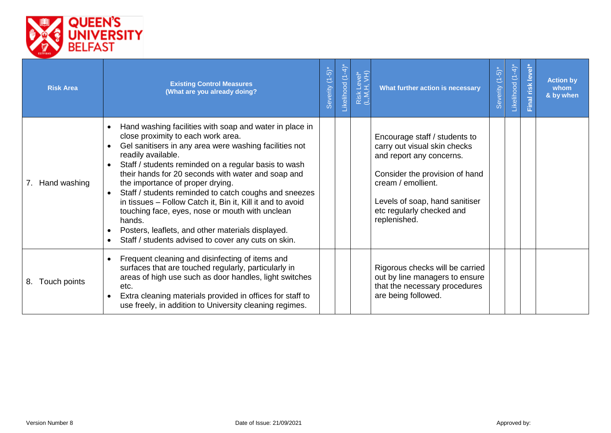

| <b>Risk Area</b>   | <b>Existing Control Measures</b><br>(What are you already doing?                                                                                                                                                                                                                                                                                                                                                                                                                                                                                                                                                                                                                                 | Severity (1-5)* | .ikelihood (1-4) | Risk Level*<br>(L,M,H, VH) | What further action is necessary                                                                                                                                                                                                 | $(-5)$<br>everity<br>Ø | $\overline{4}$<br>$\overline{\mathbb{C}}$<br><b>ikelihood</b> | <b>level</b><br>risk<br>Final | <b>Action by</b><br>whom<br>& by when |
|--------------------|--------------------------------------------------------------------------------------------------------------------------------------------------------------------------------------------------------------------------------------------------------------------------------------------------------------------------------------------------------------------------------------------------------------------------------------------------------------------------------------------------------------------------------------------------------------------------------------------------------------------------------------------------------------------------------------------------|-----------------|------------------|----------------------------|----------------------------------------------------------------------------------------------------------------------------------------------------------------------------------------------------------------------------------|------------------------|---------------------------------------------------------------|-------------------------------|---------------------------------------|
| 7.<br>Hand washing | Hand washing facilities with soap and water in place in<br>$\bullet$<br>close proximity to each work area.<br>Gel sanitisers in any area were washing facilities not<br>$\bullet$<br>readily available.<br>Staff / students reminded on a regular basis to wash<br>their hands for 20 seconds with water and soap and<br>the importance of proper drying.<br>Staff / students reminded to catch coughs and sneezes<br>$\bullet$<br>in tissues - Follow Catch it, Bin it, Kill it and to avoid<br>touching face, eyes, nose or mouth with unclean<br>hands.<br>Posters, leaflets, and other materials displayed.<br>$\bullet$<br>Staff / students advised to cover any cuts on skin.<br>$\bullet$ |                 |                  |                            | Encourage staff / students to<br>carry out visual skin checks<br>and report any concerns.<br>Consider the provision of hand<br>cream / emollient.<br>Levels of soap, hand sanitiser<br>etc regularly checked and<br>replenished. |                        |                                                               |                               |                                       |
| 8. Touch points    | Frequent cleaning and disinfecting of items and<br>surfaces that are touched regularly, particularly in<br>areas of high use such as door handles, light switches<br>etc.<br>Extra cleaning materials provided in offices for staff to<br>use freely, in addition to University cleaning regimes.                                                                                                                                                                                                                                                                                                                                                                                                |                 |                  |                            | Rigorous checks will be carried<br>out by line managers to ensure<br>that the necessary procedures<br>are being followed.                                                                                                        |                        |                                                               |                               |                                       |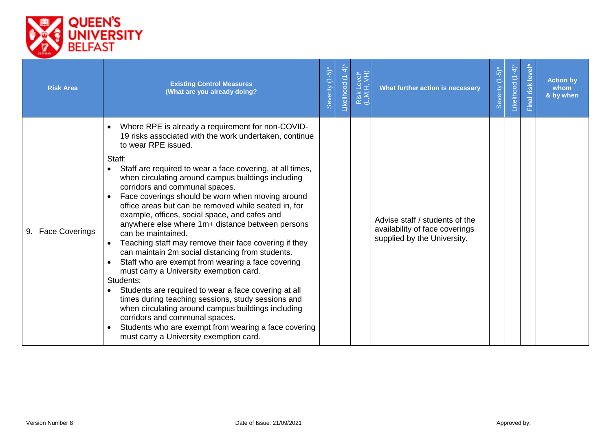

| <b>Risk Area</b>  | <b>Existing Control Measures</b><br>(What are you already doing?                                                                                                                                                                                                                                                                                                                                                                                                                                                                                                                                                                                                                                                                                                                                                                                                                                                                                                                                                                                                            | Severity (1-5) | .ikelihood (1-4) | Risk Level*<br>(L,M,H, VH) | What further action is necessary                                                                | $(1-5)$<br>Severity | $+4$<br>É<br>Likelihood | level*<br>Final risk | <b>Action by</b><br>whom<br>& by when |
|-------------------|-----------------------------------------------------------------------------------------------------------------------------------------------------------------------------------------------------------------------------------------------------------------------------------------------------------------------------------------------------------------------------------------------------------------------------------------------------------------------------------------------------------------------------------------------------------------------------------------------------------------------------------------------------------------------------------------------------------------------------------------------------------------------------------------------------------------------------------------------------------------------------------------------------------------------------------------------------------------------------------------------------------------------------------------------------------------------------|----------------|------------------|----------------------------|-------------------------------------------------------------------------------------------------|---------------------|-------------------------|----------------------|---------------------------------------|
| 9. Face Coverings | Where RPE is already a requirement for non-COVID-<br>19 risks associated with the work undertaken, continue<br>to wear RPE issued.<br>Staff:<br>Staff are required to wear a face covering, at all times,<br>when circulating around campus buildings including<br>corridors and communal spaces.<br>Face coverings should be worn when moving around<br>office areas but can be removed while seated in, for<br>example, offices, social space, and cafes and<br>anywhere else where 1m+ distance between persons<br>can be maintained.<br>Teaching staff may remove their face covering if they<br>can maintain 2m social distancing from students.<br>Staff who are exempt from wearing a face covering<br>must carry a University exemption card.<br>Students:<br>Students are required to wear a face covering at all<br>times during teaching sessions, study sessions and<br>when circulating around campus buildings including<br>corridors and communal spaces.<br>Students who are exempt from wearing a face covering<br>must carry a University exemption card. |                |                  |                            | Advise staff / students of the<br>availability of face coverings<br>supplied by the University. |                     |                         |                      |                                       |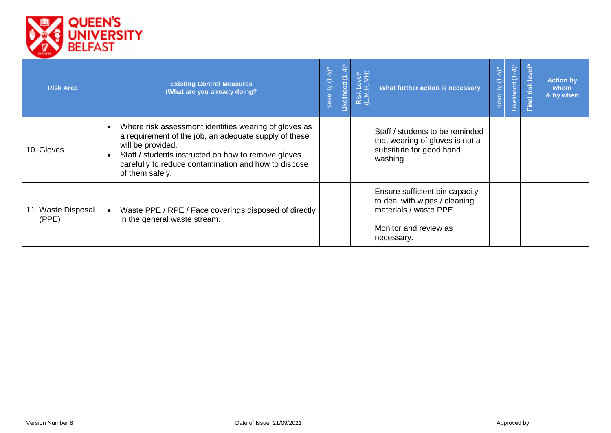

| <b>Risk Area</b>            | <b>Existing Control Measures</b><br>(What are you already doing?                                                                                                                                                                                                                   | Severity (1-5)* | .ikelihood (1-4) | Risk Level*<br>(L,M,H, VH) | What further action is necessary                                                                                                 | $\int_{0}^{\infty}$<br>E<br>everity<br>Ō | $\overline{4}$<br>$\overline{C}$<br>Likelihood | $\frac{d}{d}$<br>lnal | <b>Action by</b><br>whom<br>& by when |
|-----------------------------|------------------------------------------------------------------------------------------------------------------------------------------------------------------------------------------------------------------------------------------------------------------------------------|-----------------|------------------|----------------------------|----------------------------------------------------------------------------------------------------------------------------------|------------------------------------------|------------------------------------------------|-----------------------|---------------------------------------|
| 10. Gloves                  | Where risk assessment identifies wearing of gloves as<br>$\bullet$<br>a requirement of the job, an adequate supply of these<br>will be provided.<br>Staff / students instructed on how to remove gloves<br>carefully to reduce contamination and how to dispose<br>of them safely. |                 |                  |                            | Staff / students to be reminded<br>that wearing of gloves is not a<br>substitute for good hand<br>washing.                       |                                          |                                                |                       |                                       |
| 11. Waste Disposal<br>(PPE) | Waste PPE / RPE / Face coverings disposed of directly<br>in the general waste stream.                                                                                                                                                                                              |                 |                  |                            | Ensure sufficient bin capacity<br>to deal with wipes / cleaning<br>materials / waste PPE.<br>Monitor and review as<br>necessary. |                                          |                                                |                       |                                       |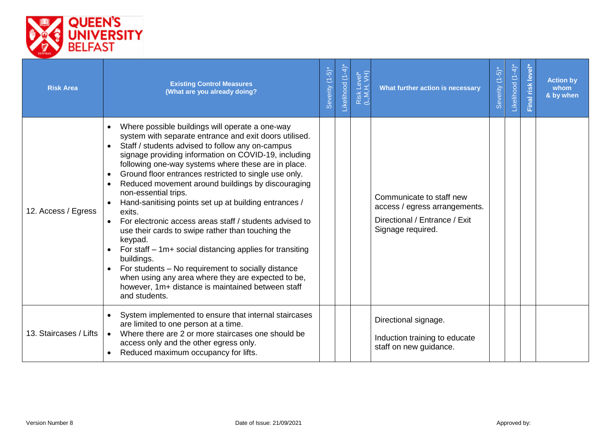

| <b>Risk Area</b>       | <b>Existing Control Measures</b><br>(What are you already doing?                                                                                                                                                                                                                                                                                                                                                                                                                                                                                                                                                                                                                                                                                                                                                                                                                           | Severity (1-5)* | -ikelihood (1-4) | Risk Level*<br>(L,M,H, VH) | What further action is necessary                                                                                | $\overline{5}$<br>$\mathbb{Z}$<br>Severity ( | $(1-4)$<br>Likelihood | level<br>Final risk | <b>Action by</b><br>whom<br>& by when |
|------------------------|--------------------------------------------------------------------------------------------------------------------------------------------------------------------------------------------------------------------------------------------------------------------------------------------------------------------------------------------------------------------------------------------------------------------------------------------------------------------------------------------------------------------------------------------------------------------------------------------------------------------------------------------------------------------------------------------------------------------------------------------------------------------------------------------------------------------------------------------------------------------------------------------|-----------------|------------------|----------------------------|-----------------------------------------------------------------------------------------------------------------|----------------------------------------------|-----------------------|---------------------|---------------------------------------|
| 12. Access / Egress    | Where possible buildings will operate a one-way<br>system with separate entrance and exit doors utilised.<br>Staff / students advised to follow any on-campus<br>$\bullet$<br>signage providing information on COVID-19, including<br>following one-way systems where these are in place.<br>Ground floor entrances restricted to single use only.<br>Reduced movement around buildings by discouraging<br>non-essential trips.<br>Hand-sanitising points set up at building entrances /<br>exits.<br>For electronic access areas staff / students advised to<br>use their cards to swipe rather than touching the<br>keypad.<br>For staff $-1m+$ social distancing applies for transiting<br>buildings.<br>For students - No requirement to socially distance<br>when using any area where they are expected to be,<br>however, 1m+ distance is maintained between staff<br>and students. |                 |                  |                            | Communicate to staff new<br>access / egress arrangements.<br>Directional / Entrance / Exit<br>Signage required. |                                              |                       |                     |                                       |
| 13. Staircases / Lifts | System implemented to ensure that internal staircases<br>are limited to one person at a time.<br>Where there are 2 or more staircases one should be<br>access only and the other egress only.<br>Reduced maximum occupancy for lifts.                                                                                                                                                                                                                                                                                                                                                                                                                                                                                                                                                                                                                                                      |                 |                  |                            | Directional signage.<br>Induction training to educate<br>staff on new guidance.                                 |                                              |                       |                     |                                       |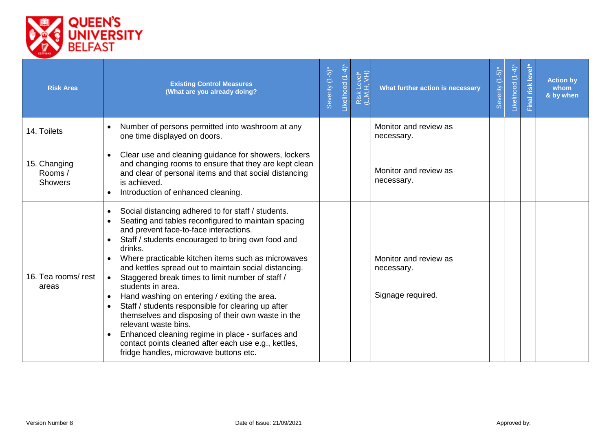

| <b>Risk Area</b>                         | <b>Existing Control Measures</b><br>(What are you already doing?                                                                                                                                                                                                                                                                                                                                                                                                                                                                                                                                                                                                                                                                                                                                          | Severity (1-5)* | Likelihood (1-4)* | Risk Level*<br>(L,M,H, VH) | What further action is necessary                         | Severity (1-5)* | $(1-4)$ *<br>Likelihood | level*<br>Final risk | <b>Action by</b><br>whom<br>& by when |
|------------------------------------------|-----------------------------------------------------------------------------------------------------------------------------------------------------------------------------------------------------------------------------------------------------------------------------------------------------------------------------------------------------------------------------------------------------------------------------------------------------------------------------------------------------------------------------------------------------------------------------------------------------------------------------------------------------------------------------------------------------------------------------------------------------------------------------------------------------------|-----------------|-------------------|----------------------------|----------------------------------------------------------|-----------------|-------------------------|----------------------|---------------------------------------|
| 14. Toilets                              | Number of persons permitted into washroom at any<br>$\bullet$<br>one time displayed on doors.                                                                                                                                                                                                                                                                                                                                                                                                                                                                                                                                                                                                                                                                                                             |                 |                   |                            | Monitor and review as<br>necessary.                      |                 |                         |                      |                                       |
| 15. Changing<br>Rooms/<br><b>Showers</b> | Clear use and cleaning guidance for showers, lockers<br>$\bullet$<br>and changing rooms to ensure that they are kept clean<br>and clear of personal items and that social distancing<br>is achieved.<br>Introduction of enhanced cleaning.                                                                                                                                                                                                                                                                                                                                                                                                                                                                                                                                                                |                 |                   |                            | Monitor and review as<br>necessary.                      |                 |                         |                      |                                       |
| 16. Tea rooms/rest<br>areas              | Social distancing adhered to for staff / students.<br>$\bullet$<br>Seating and tables reconfigured to maintain spacing<br>$\bullet$<br>and prevent face-to-face interactions.<br>Staff / students encouraged to bring own food and<br>$\bullet$<br>drinks.<br>Where practicable kitchen items such as microwaves<br>and kettles spread out to maintain social distancing.<br>Staggered break times to limit number of staff /<br>students in area.<br>Hand washing on entering / exiting the area.<br>$\bullet$<br>Staff / students responsible for clearing up after<br>themselves and disposing of their own waste in the<br>relevant waste bins.<br>Enhanced cleaning regime in place - surfaces and<br>contact points cleaned after each use e.g., kettles,<br>fridge handles, microwave buttons etc. |                 |                   |                            | Monitor and review as<br>necessary.<br>Signage required. |                 |                         |                      |                                       |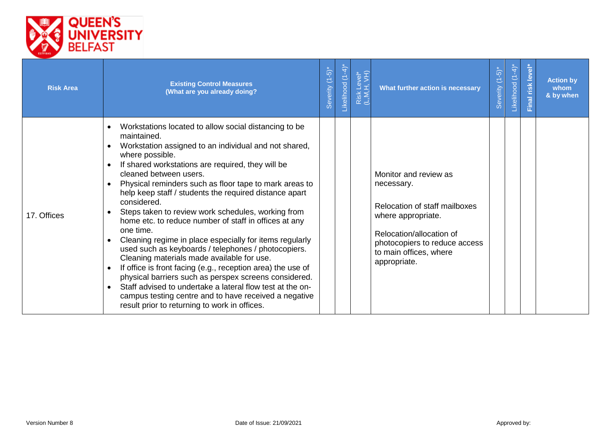

| <b>Risk Area</b> | <b>Existing Control Measures</b><br>(What are you already doing?                                                                                                                                                                                                                                                                                                                                                                                                                                                                                                                                                                                                                                                                                                                                                                                                                                                                                              | Severity (1-5) | -ikelihood (1-4) | Risk Level*<br>(L,M,H, VH) | What further action is necessary                                                                                                                                                                  | $\overline{\overline{Q}}$<br>$\overline{C}$<br>Severity | $\sum_{i=1}^{k}$<br>$\sum\limits_{i=1}^{n}$<br>Likelihood | level <sup>®</sup><br>Final risk | <b>Action by</b><br>whom<br>& by when |
|------------------|---------------------------------------------------------------------------------------------------------------------------------------------------------------------------------------------------------------------------------------------------------------------------------------------------------------------------------------------------------------------------------------------------------------------------------------------------------------------------------------------------------------------------------------------------------------------------------------------------------------------------------------------------------------------------------------------------------------------------------------------------------------------------------------------------------------------------------------------------------------------------------------------------------------------------------------------------------------|----------------|------------------|----------------------------|---------------------------------------------------------------------------------------------------------------------------------------------------------------------------------------------------|---------------------------------------------------------|-----------------------------------------------------------|----------------------------------|---------------------------------------|
| 17. Offices      | Workstations located to allow social distancing to be<br>maintained.<br>Workstation assigned to an individual and not shared,<br>where possible.<br>If shared workstations are required, they will be<br>cleaned between users.<br>Physical reminders such as floor tape to mark areas to<br>help keep staff / students the required distance apart<br>considered.<br>Steps taken to review work schedules, working from<br>home etc. to reduce number of staff in offices at any<br>one time.<br>Cleaning regime in place especially for items regularly<br>used such as keyboards / telephones / photocopiers.<br>Cleaning materials made available for use.<br>If office is front facing (e.g., reception area) the use of<br>physical barriers such as perspex screens considered.<br>Staff advised to undertake a lateral flow test at the on-<br>campus testing centre and to have received a negative<br>result prior to returning to work in offices. |                |                  |                            | Monitor and review as<br>necessary.<br>Relocation of staff mailboxes<br>where appropriate.<br>Relocation/allocation of<br>photocopiers to reduce access<br>to main offices, where<br>appropriate. |                                                         |                                                           |                                  |                                       |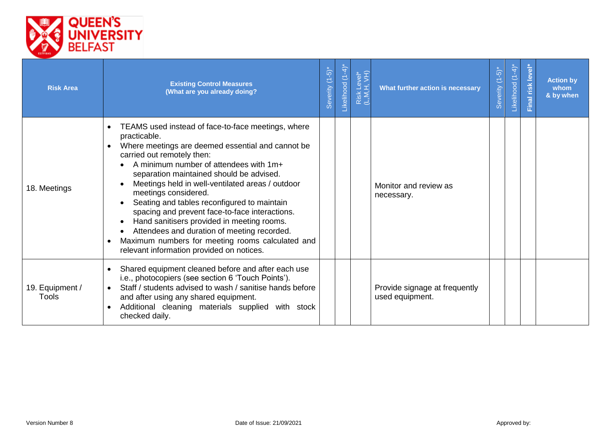

| <b>Risk Area</b>                | <b>Existing Control Measures</b><br>(What are you already doing?                                                                                                                                                                                                                                                                                                                                                                                                                                                                                                                                                       | Severity (1-5)* | ikelihood (1-4) | Risk Level*<br>(L,M,H, VH) | What further action is necessary                 | Severity (1-5)* | ikelihood (1-4) | Final risk level | <b>Action by</b><br>whom<br>& by when |
|---------------------------------|------------------------------------------------------------------------------------------------------------------------------------------------------------------------------------------------------------------------------------------------------------------------------------------------------------------------------------------------------------------------------------------------------------------------------------------------------------------------------------------------------------------------------------------------------------------------------------------------------------------------|-----------------|-----------------|----------------------------|--------------------------------------------------|-----------------|-----------------|------------------|---------------------------------------|
| 18. Meetings                    | TEAMS used instead of face-to-face meetings, where<br>practicable.<br>Where meetings are deemed essential and cannot be<br>carried out remotely then:<br>A minimum number of attendees with 1m+<br>separation maintained should be advised.<br>Meetings held in well-ventilated areas / outdoor<br>meetings considered.<br>Seating and tables reconfigured to maintain<br>spacing and prevent face-to-face interactions.<br>Hand sanitisers provided in meeting rooms.<br>Attendees and duration of meeting recorded.<br>Maximum numbers for meeting rooms calculated and<br>relevant information provided on notices. |                 |                 |                            | Monitor and review as<br>necessary.              |                 |                 |                  |                                       |
| 19. Equipment /<br><b>Tools</b> | Shared equipment cleaned before and after each use<br>i.e., photocopiers (see section 6 'Touch Points').<br>Staff / students advised to wash / sanitise hands before<br>$\bullet$<br>and after using any shared equipment.<br>Additional cleaning materials supplied with stock<br>checked daily.                                                                                                                                                                                                                                                                                                                      |                 |                 |                            | Provide signage at frequently<br>used equipment. |                 |                 |                  |                                       |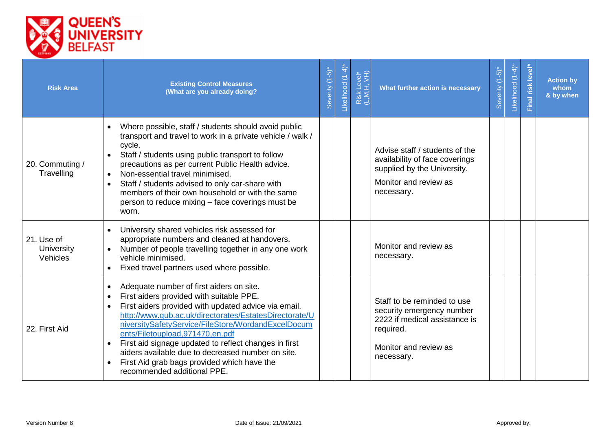

| <b>Risk Area</b>                     | <b>Existing Control Measures</b><br>(What are you already doing?                                                                                                                                                                                                                                                                                                                                                                                                                                                                                | Severity (1-5)* | -ikelihood (1-4) | Risk Level*<br>(L,M,H, VH) | What further action is necessary                                                                                                              | Severity (1-5)* | Likelihood (1-4) | Final risk level | <b>Action by</b><br>whom<br>& by when |
|--------------------------------------|-------------------------------------------------------------------------------------------------------------------------------------------------------------------------------------------------------------------------------------------------------------------------------------------------------------------------------------------------------------------------------------------------------------------------------------------------------------------------------------------------------------------------------------------------|-----------------|------------------|----------------------------|-----------------------------------------------------------------------------------------------------------------------------------------------|-----------------|------------------|------------------|---------------------------------------|
| 20. Commuting /<br>Travelling        | Where possible, staff / students should avoid public<br>$\bullet$<br>transport and travel to work in a private vehicle / walk /<br>cycle.<br>Staff / students using public transport to follow<br>$\bullet$<br>precautions as per current Public Health advice.<br>Non-essential travel minimised.<br>$\bullet$<br>Staff / students advised to only car-share with<br>members of their own household or with the same<br>person to reduce mixing – face coverings must be<br>worn.                                                              |                 |                  |                            | Advise staff / students of the<br>availability of face coverings<br>supplied by the University.<br>Monitor and review as<br>necessary.        |                 |                  |                  |                                       |
| 21. Use of<br>University<br>Vehicles | University shared vehicles risk assessed for<br>$\bullet$<br>appropriate numbers and cleaned at handovers.<br>Number of people travelling together in any one work<br>$\bullet$<br>vehicle minimised.<br>Fixed travel partners used where possible.<br>$\bullet$                                                                                                                                                                                                                                                                                |                 |                  |                            | Monitor and review as<br>necessary.                                                                                                           |                 |                  |                  |                                       |
| 22. First Aid                        | Adequate number of first aiders on site.<br>$\bullet$<br>First aiders provided with suitable PPE.<br>$\bullet$<br>First aiders provided with updated advice via email.<br>$\bullet$<br>http://www.qub.ac.uk/directorates/EstatesDirectorate/U<br>niversitySafetyService/FileStore/WordandExcelDocum<br>ents/Filetoupload,971470,en.pdf<br>First aid signage updated to reflect changes in first<br>aiders available due to decreased number on site.<br>First Aid grab bags provided which have the<br>$\bullet$<br>recommended additional PPE. |                 |                  |                            | Staff to be reminded to use<br>security emergency number<br>2222 if medical assistance is<br>required.<br>Monitor and review as<br>necessary. |                 |                  |                  |                                       |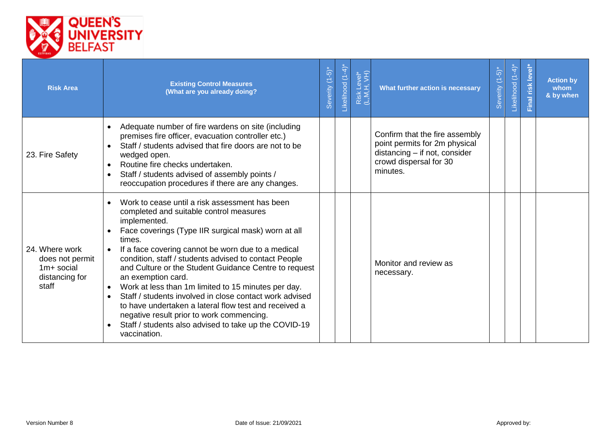

| <b>Risk Area</b>                                                             | <b>Existing Control Measures</b><br>(What are you already doing?                                                                                                                                                                                                                                                                                                                                                                                                                                                                                                                                                                                                                                    | Severity (1-5)* | ikelihood (1-4) | Risk Level*<br>(L,M,H, VH) | What further action is necessary                                                                                                       | $(1-5)$ <sup>*</sup><br>Severity ( | $(1-4)$<br>Likelihood | risk level<br>Final | <b>Action by</b><br>whom<br>& by when |
|------------------------------------------------------------------------------|-----------------------------------------------------------------------------------------------------------------------------------------------------------------------------------------------------------------------------------------------------------------------------------------------------------------------------------------------------------------------------------------------------------------------------------------------------------------------------------------------------------------------------------------------------------------------------------------------------------------------------------------------------------------------------------------------------|-----------------|-----------------|----------------------------|----------------------------------------------------------------------------------------------------------------------------------------|------------------------------------|-----------------------|---------------------|---------------------------------------|
| 23. Fire Safety                                                              | Adequate number of fire wardens on site (including<br>$\bullet$<br>premises fire officer, evacuation controller etc.)<br>Staff / students advised that fire doors are not to be<br>wedged open.<br>Routine fire checks undertaken.<br>Staff / students advised of assembly points /<br>$\bullet$<br>reoccupation procedures if there are any changes.                                                                                                                                                                                                                                                                                                                                               |                 |                 |                            | Confirm that the fire assembly<br>point permits for 2m physical<br>distancing - if not, consider<br>crowd dispersal for 30<br>minutes. |                                    |                       |                     |                                       |
| 24. Where work<br>does not permit<br>$1m+$ social<br>distancing for<br>staff | Work to cease until a risk assessment has been<br>$\bullet$<br>completed and suitable control measures<br>implemented.<br>Face coverings (Type IIR surgical mask) worn at all<br>times.<br>If a face covering cannot be worn due to a medical<br>condition, staff / students advised to contact People<br>and Culture or the Student Guidance Centre to request<br>an exemption card.<br>Work at less than 1m limited to 15 minutes per day.<br>Staff / students involved in close contact work advised<br>$\bullet$<br>to have undertaken a lateral flow test and received a<br>negative result prior to work commencing.<br>Staff / students also advised to take up the COVID-19<br>vaccination. |                 |                 |                            | Monitor and review as<br>necessary.                                                                                                    |                                    |                       |                     |                                       |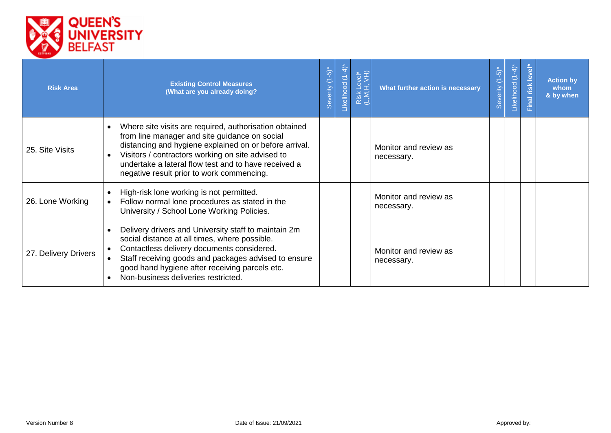

| <b>Risk Area</b>     | <b>Existing Control Measures</b><br>(What are you already doing?                                                                                                                                                                                                                                                                                      | Severity (1-5)* | ikelihood (1-4) | Risk Level*<br>(L,M,H, VH) | What further action is necessary    | Severity (1-5)* | $(1-4)^{*}$<br>Likelihood | level <sup>-</sup><br>inal risk | <b>Action by</b><br>whom<br>& by when |
|----------------------|-------------------------------------------------------------------------------------------------------------------------------------------------------------------------------------------------------------------------------------------------------------------------------------------------------------------------------------------------------|-----------------|-----------------|----------------------------|-------------------------------------|-----------------|---------------------------|---------------------------------|---------------------------------------|
| 25. Site Visits      | Where site visits are required, authorisation obtained<br>$\bullet$<br>from line manager and site guidance on social<br>distancing and hygiene explained on or before arrival.<br>Visitors / contractors working on site advised to<br>$\bullet$<br>undertake a lateral flow test and to have received a<br>negative result prior to work commencing. |                 |                 |                            | Monitor and review as<br>necessary. |                 |                           |                                 |                                       |
| 26. Lone Working     | High-risk lone working is not permitted.<br>$\bullet$<br>Follow normal lone procedures as stated in the<br>University / School Lone Working Policies.                                                                                                                                                                                                 |                 |                 |                            | Monitor and review as<br>necessary. |                 |                           |                                 |                                       |
| 27. Delivery Drivers | Delivery drivers and University staff to maintain 2m<br>$\bullet$<br>social distance at all times, where possible.<br>Contactless delivery documents considered.<br>Staff receiving goods and packages advised to ensure<br>good hand hygiene after receiving parcels etc.<br>Non-business deliveries restricted.                                     |                 |                 |                            | Monitor and review as<br>necessary. |                 |                           |                                 |                                       |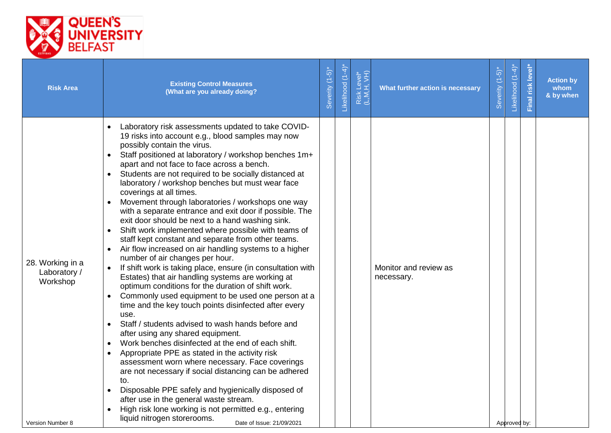

| <b>Risk Area</b>                                                 | <b>Existing Control Measures</b><br>(What are you already doing?                                                                                                                                                                                                                                                                                                                                                                                                                                                                                                                                                                                                                                                                                                                                                                                                                                                                                                                                                                                                                                                                                                                                                                                                                                                                                                                                                                                                                                                                                                                                                                                                    | Severity (1-5)* | Likelihood (1-4) | Risk Level*<br>(L,M,H, VH) | What further action is necessary    | Severity (1-5)* | Likelihood (1-4) | Final risk level | <b>Action by</b><br>whom<br>& by when |
|------------------------------------------------------------------|---------------------------------------------------------------------------------------------------------------------------------------------------------------------------------------------------------------------------------------------------------------------------------------------------------------------------------------------------------------------------------------------------------------------------------------------------------------------------------------------------------------------------------------------------------------------------------------------------------------------------------------------------------------------------------------------------------------------------------------------------------------------------------------------------------------------------------------------------------------------------------------------------------------------------------------------------------------------------------------------------------------------------------------------------------------------------------------------------------------------------------------------------------------------------------------------------------------------------------------------------------------------------------------------------------------------------------------------------------------------------------------------------------------------------------------------------------------------------------------------------------------------------------------------------------------------------------------------------------------------------------------------------------------------|-----------------|------------------|----------------------------|-------------------------------------|-----------------|------------------|------------------|---------------------------------------|
| 28. Working in a<br>Laboratory /<br>Workshop<br>Version Number 8 | Laboratory risk assessments updated to take COVID-<br>19 risks into account e.g., blood samples may now<br>possibly contain the virus.<br>Staff positioned at laboratory / workshop benches 1m+<br>apart and not face to face across a bench.<br>Students are not required to be socially distanced at<br>laboratory / workshop benches but must wear face<br>coverings at all times.<br>Movement through laboratories / workshops one way<br>with a separate entrance and exit door if possible. The<br>exit door should be next to a hand washing sink.<br>Shift work implemented where possible with teams of<br>staff kept constant and separate from other teams.<br>Air flow increased on air handling systems to a higher<br>number of air changes per hour.<br>If shift work is taking place, ensure (in consultation with<br>$\bullet$<br>Estates) that air handling systems are working at<br>optimum conditions for the duration of shift work.<br>Commonly used equipment to be used one person at a<br>$\bullet$<br>time and the key touch points disinfected after every<br>use.<br>Staff / students advised to wash hands before and<br>after using any shared equipment.<br>Work benches disinfected at the end of each shift.<br>$\bullet$<br>Appropriate PPE as stated in the activity risk<br>$\bullet$<br>assessment worn where necessary. Face coverings<br>are not necessary if social distancing can be adhered<br>to.<br>Disposable PPE safely and hygienically disposed of<br>after use in the general waste stream.<br>High risk lone working is not permitted e.g., entering<br>liquid nitrogen storerooms.<br>Date of Issue: 21/09/2021 |                 |                  |                            | Monitor and review as<br>necessary. |                 | Approved by:     |                  |                                       |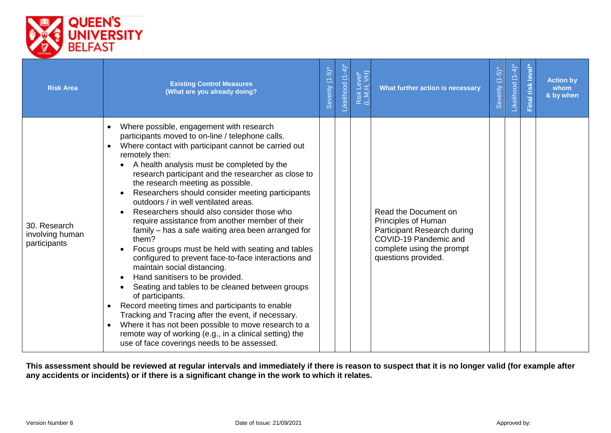

| <b>Risk Area</b>                                | <b>Existing Control Measures</b><br>(What are you already doing?                                                                                                                                                                                                                                                                                                                                                                                                                                                                                                                                                                                                                                                                                                                                                                                                                                                                                                                                                                                                                                              | Severity (1-5)* | -ikelihood (1-4) | Risk Level*<br>(L,M,H, VH) | What further action is necessary                                                                                                                        | $-\frac{5}{2}$<br>Severity (1 | $(1-4)$ <sup>*</sup><br>Likelihood | level*<br>Final risk | <b>Action by</b><br>whom<br>& by when |
|-------------------------------------------------|---------------------------------------------------------------------------------------------------------------------------------------------------------------------------------------------------------------------------------------------------------------------------------------------------------------------------------------------------------------------------------------------------------------------------------------------------------------------------------------------------------------------------------------------------------------------------------------------------------------------------------------------------------------------------------------------------------------------------------------------------------------------------------------------------------------------------------------------------------------------------------------------------------------------------------------------------------------------------------------------------------------------------------------------------------------------------------------------------------------|-----------------|------------------|----------------------------|---------------------------------------------------------------------------------------------------------------------------------------------------------|-------------------------------|------------------------------------|----------------------|---------------------------------------|
| 30. Research<br>involving human<br>participants | Where possible, engagement with research<br>participants moved to on-line / telephone calls.<br>Where contact with participant cannot be carried out<br>remotely then:<br>A health analysis must be completed by the<br>research participant and the researcher as close to<br>the research meeting as possible.<br>Researchers should consider meeting participants<br>outdoors / in well ventilated areas.<br>Researchers should also consider those who<br>require assistance from another member of their<br>family - has a safe waiting area been arranged for<br>them?<br>Focus groups must be held with seating and tables<br>configured to prevent face-to-face interactions and<br>maintain social distancing.<br>Hand sanitisers to be provided.<br>Seating and tables to be cleaned between groups<br>of participants.<br>Record meeting times and participants to enable<br>Tracking and Tracing after the event, if necessary.<br>Where it has not been possible to move research to a<br>remote way of working (e.g., in a clinical setting) the<br>use of face coverings needs to be assessed. |                 |                  |                            | Read the Document on<br>Principles of Human<br>Participant Research during<br>COVID-19 Pandemic and<br>complete using the prompt<br>questions provided. |                               |                                    |                      |                                       |

**This assessment should be reviewed at regular intervals and immediately if there is reason to suspect that it is no longer valid (for example after any accidents or incidents) or if there is a significant change in the work to which it relates.**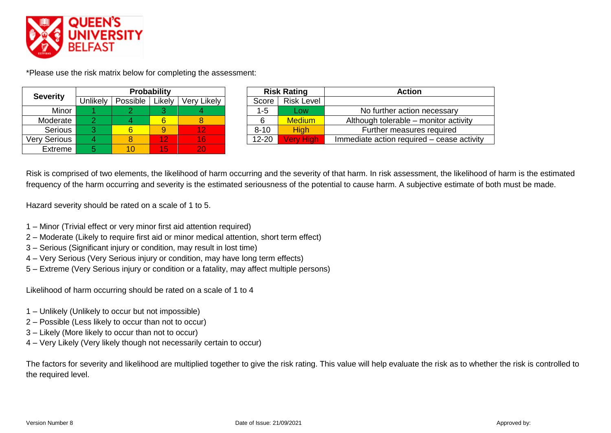

\*Please use the risk matrix below for completing the assessment:

| <b>Severity</b>     |          |          | <b>Probability</b> |             |           | <b>Risk Rating</b> | <b>Action</b>            |
|---------------------|----------|----------|--------------------|-------------|-----------|--------------------|--------------------------|
|                     | Unlikely | Possible | Likely             | Very Likely | Score     | <b>Risk Level</b>  |                          |
| Minor               |          |          |                    |             | $1 - 5$   | Low                | No further action        |
| Moderate            |          |          |                    |             |           | <b>Medium</b>      | Although tolerable - r   |
| Serious             |          |          | 9                  |             | $8 - 10$  | <b>High</b>        | <b>Further measure</b>   |
| <b>Very Serious</b> |          |          | 12                 | 16          | $12 - 20$ | <b>Very High</b>   | Immediate action require |
| Extreme             |          | 10       | 15                 | 20/         |           |                    |                          |

| <b>Severity</b> |                 |          | <b>Probability</b> |             |           | <b>Risk Rating</b> | <b>Action</b>                              |
|-----------------|-----------------|----------|--------------------|-------------|-----------|--------------------|--------------------------------------------|
|                 | <b>Jnlikely</b> | Possible | Likelv             | Very Likely | Score     | <b>Risk Level</b>  |                                            |
| Minor           |                 |          |                    |             | $1 - 5$   | _OW                | No further action necessary                |
| Moderate        |                 |          | 6                  |             |           | <b>Medium</b>      | Although tolerable – monitor activity      |
| <b>Serious</b>  |                 |          | 9                  |             | $8 - 10$  | <b>High</b>        | Further measures required                  |
| Verv Serious    |                 |          | 12 <sub>2</sub>    | 16'         | $12 - 20$ | <b>Very High</b>   | Immediate action required – cease activity |
|                 |                 |          |                    |             |           |                    |                                            |

Risk is comprised of two elements, the likelihood of harm occurring and the severity of that harm. In risk assessment, the likelihood of harm is the estimated frequency of the harm occurring and severity is the estimated seriousness of the potential to cause harm. A subjective estimate of both must be made.

Hazard severity should be rated on a scale of 1 to 5.

- 1 Minor (Trivial effect or very minor first aid attention required)
- 2 Moderate (Likely to require first aid or minor medical attention, short term effect)
- 3 Serious (Significant injury or condition, may result in lost time)
- 4 Very Serious (Very Serious injury or condition, may have long term effects)
- 5 Extreme (Very Serious injury or condition or a fatality, may affect multiple persons)

Likelihood of harm occurring should be rated on a scale of 1 to 4

- 1 Unlikely (Unlikely to occur but not impossible)
- 2 Possible (Less likely to occur than not to occur)
- 3 Likely (More likely to occur than not to occur)
- 4 Very Likely (Very likely though not necessarily certain to occur)

The factors for severity and likelihood are multiplied together to give the risk rating. This value will help evaluate the risk as to whether the risk is controlled to the required level.